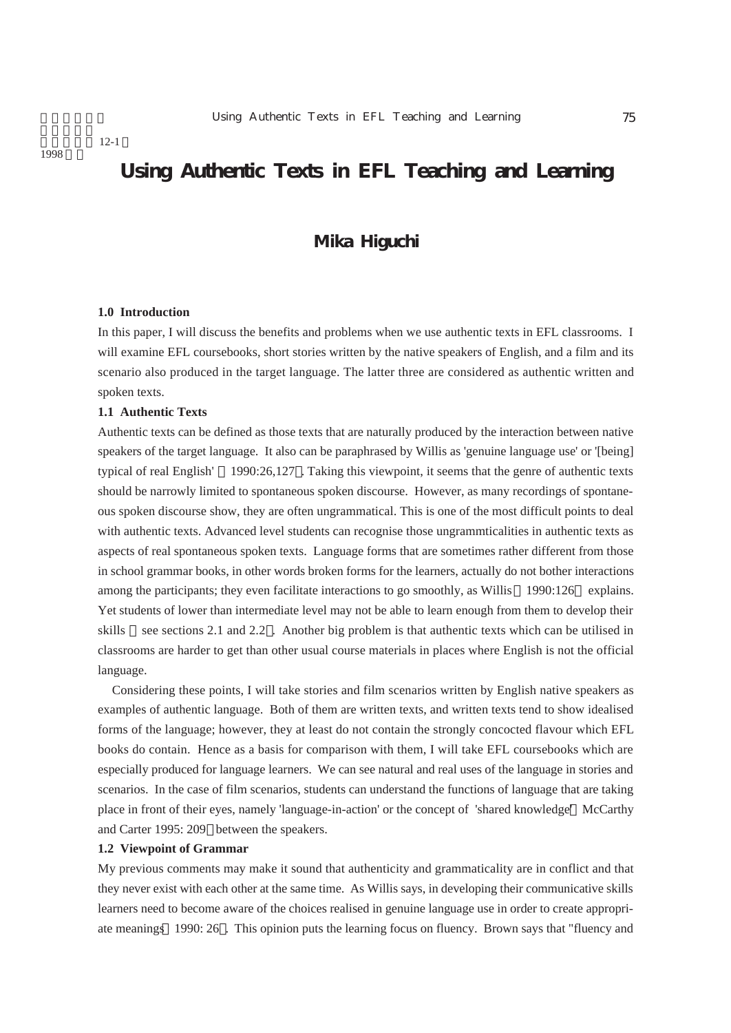1998

# **Using Authentic Texts in EFL Teaching and Learning**

# **Mika Higuchi**

### **1.0 Introduction**

In this paper, I will discuss the benefits and problems when we use authentic texts in EFL classrooms. I will examine EFL coursebooks, short stories written by the native speakers of English, and a film and its scenario also produced in the target language. The latter three are considered as authentic written and spoken texts.

# **1.1 Authentic Texts**

Authentic texts can be defined as those texts that are naturally produced by the interaction between native speakers of the target language. It also can be paraphrased by Willis as 'genuine language use' or '[being] typical of real English' 1990:26,127 . Taking this viewpoint, it seems that the genre of authentic texts should be narrowly limited to spontaneous spoken discourse. However, as many recordings of spontaneous spoken discourse show, they are often ungrammatical. This is one of the most difficult points to deal with authentic texts. Advanced level students can recognise those ungrammticalities in authentic texts as aspects of real spontaneous spoken texts. Language forms that are sometimes rather different from those in school grammar books, in other words broken forms for the learners, actually do not bother interactions among the participants; they even facilitate interactions to go smoothly, as Willis 1990:126 explains. Yet students of lower than intermediate level may not be able to learn enough from them to develop their skills see sections 2.1 and 2.2 . Another big problem is that authentic texts which can be utilised in classrooms are harder to get than other usual course materials in places where English is not the official language.

Considering these points, I will take stories and film scenarios written by English native speakers as examples of authentic language. Both of them are written texts, and written texts tend to show idealised forms of the language; however, they at least do not contain the strongly concocted flavour which EFL books do contain. Hence as a basis for comparison with them, I will take EFL coursebooks which are especially produced for language learners. We can see natural and real uses of the language in stories and scenarios. In the case of film scenarios, students can understand the functions of language that are taking place in front of their eyes, namely 'language-in-action' or the concept of 'shared knowledge' McCarthy and Carter 1995: 209 between the speakers.

#### **1.2 Viewpoint of Grammar**

My previous comments may make it sound that authenticity and grammaticality are in conflict and that they never exist with each other at the same time. As Willis says, in developing their communicative skills learners need to become aware of the choices realised in genuine language use in order to create appropriate meanings 1990: 26 . This opinion puts the learning focus on fluency. Brown says that "fluency and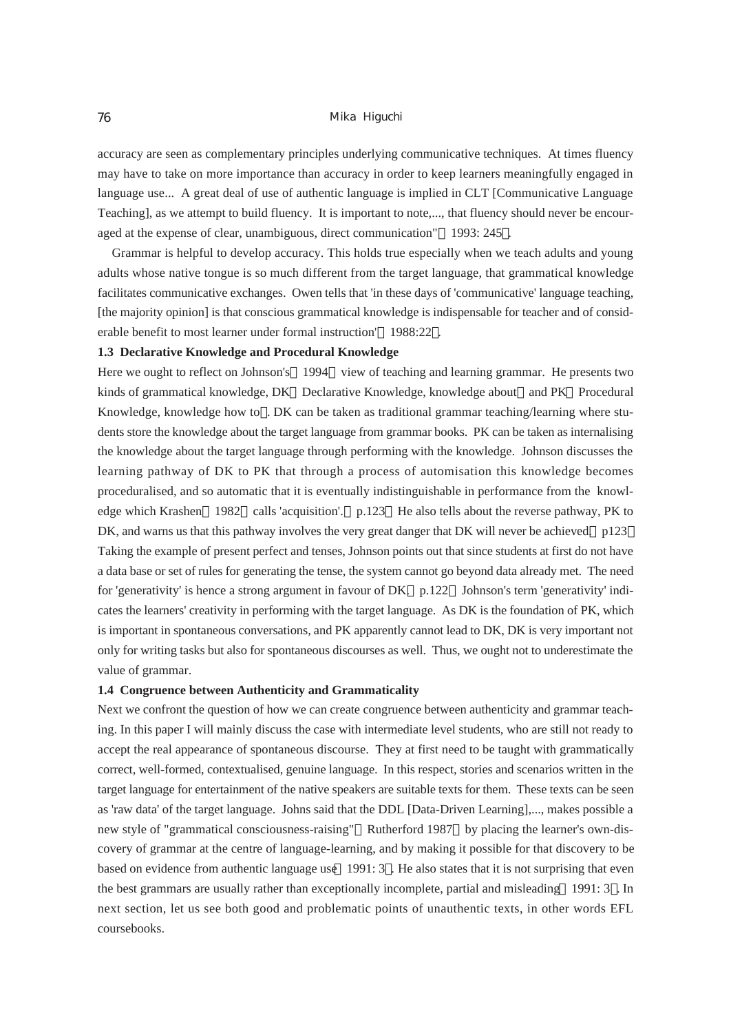# 76 Mika Higuchi

accuracy are seen as complementary principles underlying communicative techniques. At times fluency may have to take on more importance than accuracy in order to keep learners meaningfully engaged in language use... A great deal of use of authentic language is implied in CLT [Communicative Language Teaching], as we attempt to build fluency. It is important to note,..., that fluency should never be encouraged at the expense of clear, unambiguous, direct communication" 1993: 245 .

Grammar is helpful to develop accuracy. This holds true especially when we teach adults and young adults whose native tongue is so much different from the target language, that grammatical knowledge facilitates communicative exchanges. Owen tells that 'in these days of 'communicative' language teaching, [the majority opinion] is that conscious grammatical knowledge is indispensable for teacher and of considerable benefit to most learner under formal instruction' 1988:22 .

# **1.3 Declarative Knowledge and Procedural Knowledge**

Here we ought to reflect on Johnson's 1994 view of teaching and learning grammar. He presents two kinds of grammatical knowledge, DK Declarative Knowledge, knowledge about and PK Procedural Knowledge, knowledge how to . DK can be taken as traditional grammar teaching/learning where students store the knowledge about the target language from grammar books. PK can be taken as internalising the knowledge about the target language through performing with the knowledge. Johnson discusses the learning pathway of DK to PK that through a process of automisation this knowledge becomes proceduralised, and so automatic that it is eventually indistinguishable in performance from the knowledge which Krashen 1982 calls 'acquisition'. p.123 He also tells about the reverse pathway, PK to DK, and warns us that this pathway involves the very great danger that DK will never be achieved. p123 Taking the example of present perfect and tenses, Johnson points out that since students at first do not have a data base or set of rules for generating the tense, the system cannot go beyond data already met. The need for 'generativity' is hence a strong argument in favour of DK. p.122 Johnson's term 'generativity' indicates the learners' creativity in performing with the target language. As DK is the foundation of PK, which is important in spontaneous conversations, and PK apparently cannot lead to DK, DK is very important not only for writing tasks but also for spontaneous discourses as well. Thus, we ought not to underestimate the value of grammar.

## **1.4 Congruence between Authenticity and Grammaticality**

Next we confront the question of how we can create congruence between authenticity and grammar teaching. In this paper I will mainly discuss the case with intermediate level students, who are still not ready to accept the real appearance of spontaneous discourse. They at first need to be taught with grammatically correct, well-formed, contextualised, genuine language. In this respect, stories and scenarios written in the target language for entertainment of the native speakers are suitable texts for them. These texts can be seen as 'raw data' of the target language. Johns said that the DDL [Data-Driven Learning],..., makes possible a new style of "grammatical consciousness-raising" Rutherford 1987 by placing the learner's own-discovery of grammar at the centre of language-learning, and by making it possible for that discovery to be based on evidence from authentic language use 1991: 3 . He also states that it is not surprising that even the best grammars are usually rather than exceptionally incomplete, partial and misleading 1991: 3 . In next section, let us see both good and problematic points of unauthentic texts, in other words EFL coursebooks.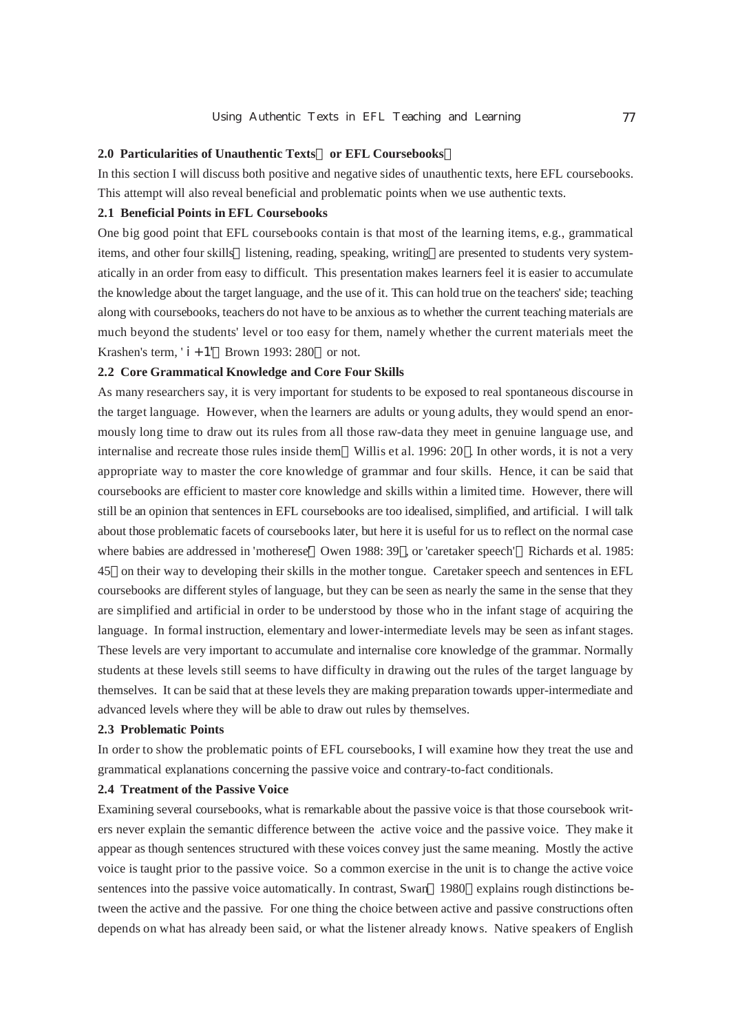# **2.0 Particularities of Unauthentic Texts or EFL Coursebooks**

In this section I will discuss both positive and negative sides of unauthentic texts, here EFL coursebooks. This attempt will also reveal beneficial and problematic points when we use authentic texts.

## **2.1 Beneficial Points in EFL Coursebooks**

One big good point that EFL coursebooks contain is that most of the learning items, e.g., grammatical items, and other four skills listening, reading, speaking, writing are presented to students very systematically in an order from easy to difficult. This presentation makes learners feel it is easier to accumulate the knowledge about the target language, and the use of it. This can hold true on the teachers' side; teaching along with coursebooks, teachers do not have to be anxious as to whether the current teaching materials are much beyond the students' level or too easy for them, namely whether the current materials meet the Krashen's term, ' $i + 1'$  Brown 1993: 280 or not.

# **2.2 Core Grammatical Knowledge and Core Four Skills**

As many researchers say, it is very important for students to be exposed to real spontaneous discourse in the target language. However, when the learners are adults or young adults, they would spend an enormously long time to draw out its rules from all those raw-data they meet in genuine language use, and internalise and recreate those rules inside them Willis et al. 1996: 20 . In other words, it is not a very appropriate way to master the core knowledge of grammar and four skills. Hence, it can be said that coursebooks are efficient to master core knowledge and skills within a limited time. However, there will still be an opinion that sentences in EFL coursebooks are too idealised, simplified, and artificial. I will talk about those problematic facets of coursebooks later, but here it is useful for us to reflect on the normal case where babies are addressed in 'motherese' Owen 1988: 39 , or 'caretaker speech' Richards et al. 1985: 45 on their way to developing their skills in the mother tongue. Caretaker speech and sentences in EFL coursebooks are different styles of language, but they can be seen as nearly the same in the sense that they are simplified and artificial in order to be understood by those who in the infant stage of acquiring the language. In formal instruction, elementary and lower-intermediate levels may be seen as infant stages. These levels are very important to accumulate and internalise core knowledge of the grammar. Normally students at these levels still seems to have difficulty in drawing out the rules of the target language by themselves. It can be said that at these levels they are making preparation towards upper-intermediate and advanced levels where they will be able to draw out rules by themselves.

## **2.3 Problematic Points**

In order to show the problematic points of EFL coursebooks, I will examine how they treat the use and grammatical explanations concerning the passive voice and contrary-to-fact conditionals.

#### **2.4 Treatment of the Passive Voice**

Examining several coursebooks, what is remarkable about the passive voice is that those coursebook writers never explain the semantic difference between the active voice and the passive voice. They make it appear as though sentences structured with these voices convey just the same meaning. Mostly the active voice is taught prior to the passive voice. So a common exercise in the unit is to change the active voice sentences into the passive voice automatically. In contrast, Swan 1980 explains rough distinctions between the active and the passive. For one thing the choice between active and passive constructions often depends on what has already been said, or what the listener already knows. Native speakers of English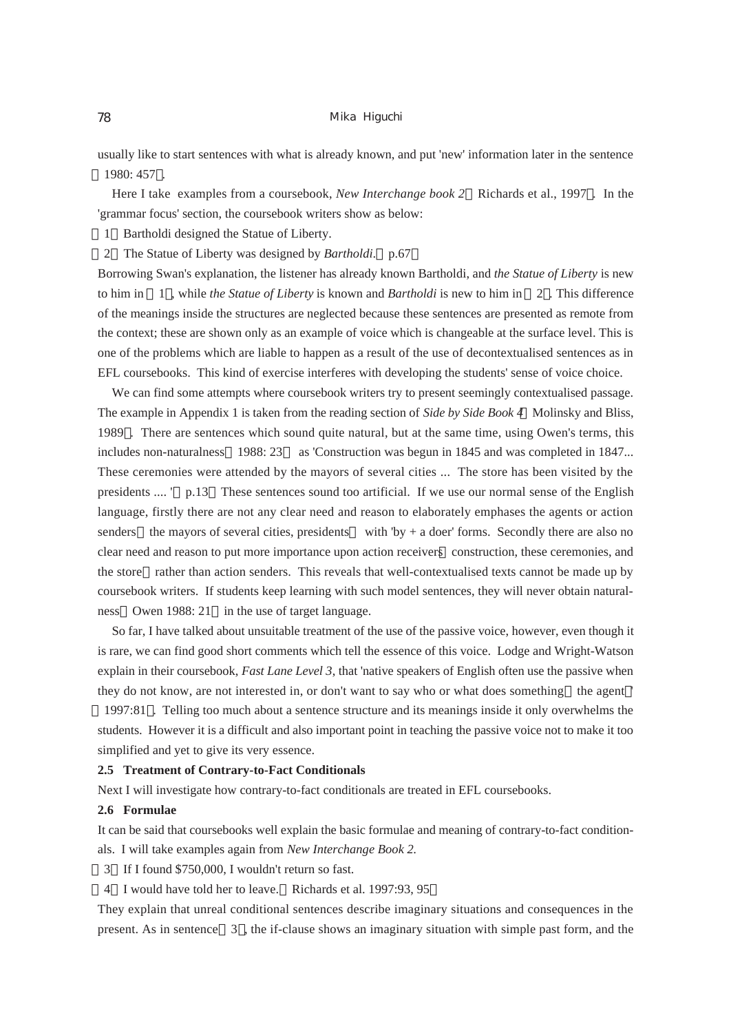### 78 Mika Higuchi

usually like to start sentences with what is already known, and put 'new' information later in the sentence 1980: 457 .

Here I take examples from a coursebook, *New Interchange book 2* Richards et al., 1997 . In the 'grammar focus' section, the coursebook writers show as below:

- 1 Bartholdi designed the Statue of Liberty.
- 2 The Statue of Liberty was designed by *Bartholdi*. p.67

Borrowing Swan's explanation, the listener has already known Bartholdi, and *the Statue of Liberty* is new to him in 1 , while *the Statue of Liberty* is known and *Bartholdi* is new to him in 2 . This difference of the meanings inside the structures are neglected because these sentences are presented as remote from the context; these are shown only as an example of voice which is changeable at the surface level. This is one of the problems which are liable to happen as a result of the use of decontextualised sentences as in EFL coursebooks. This kind of exercise interferes with developing the students' sense of voice choice.

We can find some attempts where coursebook writers try to present seemingly contextualised passage. The example in Appendix 1 is taken from the reading section of *Side by Side Book 4* Molinsky and Bliss, 1989 . There are sentences which sound quite natural, but at the same time, using Owen's terms, this includes non-naturalness 1988: 23 as 'Construction was begun in 1845 and was completed in 1847... These ceremonies were attended by the mayors of several cities ... The store has been visited by the presidents .... ' p.13 These sentences sound too artificial. If we use our normal sense of the English language, firstly there are not any clear need and reason to elaborately emphases the agents or action senders the mayors of several cities, presidents with  $\forall y + a$  doer' forms. Secondly there are also no clear need and reason to put more importance upon action receivers construction, these ceremonies, and the store rather than action senders. This reveals that well-contextualised texts cannot be made up by coursebook writers. If students keep learning with such model sentences, they will never obtain naturalness Owen 1988: 21 in the use of target language.

So far, I have talked about unsuitable treatment of the use of the passive voice, however, even though it is rare, we can find good short comments which tell the essence of this voice. Lodge and Wright-Watson explain in their coursebook, *Fast Lane Level 3*, that 'native speakers of English often use the passive when they do not know, are not interested in, or don't want to say who or what does something the agent '

1997:81 . Telling too much about a sentence structure and its meanings inside it only overwhelms the students. However it is a difficult and also important point in teaching the passive voice not to make it too simplified and yet to give its very essence.

## **2.5 Treatment of Contrary-to-Fact Conditionals**

Next I will investigate how contrary-to-fact conditionals are treated in EFL coursebooks.

# **2.6 Formulae**

It can be said that coursebooks well explain the basic formulae and meaning of contrary-to-fact conditionals. I will take examples again from *New Interchange Book 2*.

- 3 If I found \$750,000, I wouldn't return so fast.
- 4 I would have told her to leave. Richards et al. 1997:93, 95

They explain that unreal conditional sentences describe imaginary situations and consequences in the present. As in sentence 3 , the if-clause shows an imaginary situation with simple past form, and the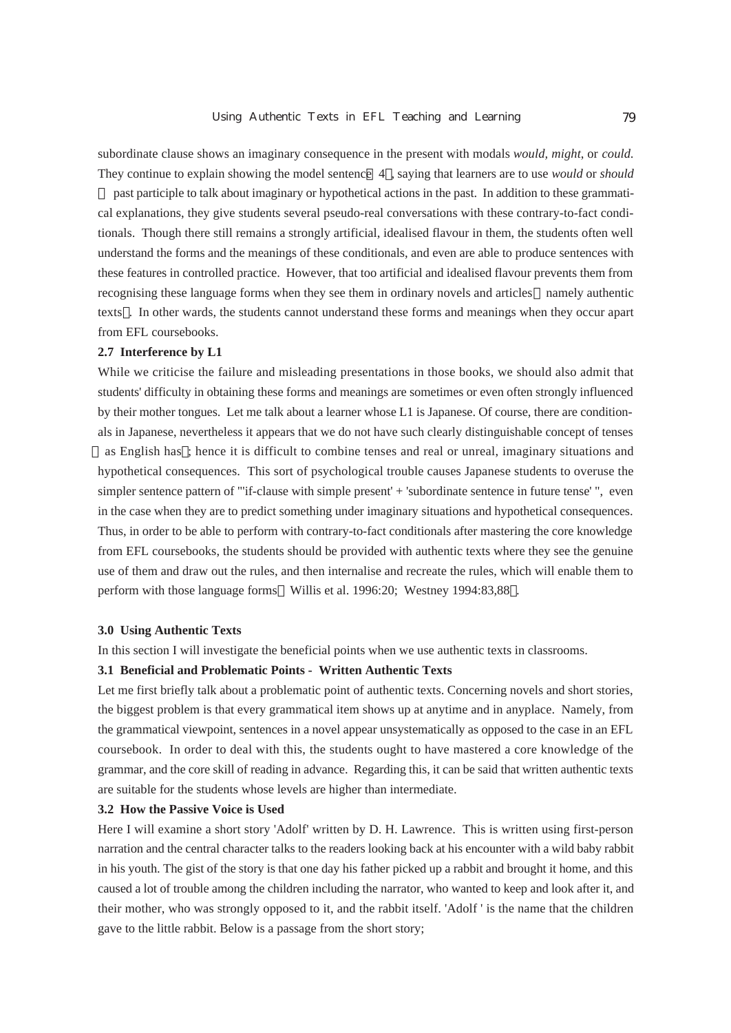subordinate clause shows an imaginary consequence in the present with modals *would, might*, or *could*. They continue to explain showing the model sentence 4 , saying that learners are to use *would* or *should*

 past participle to talk about imaginary or hypothetical actions in the past. In addition to these grammatical explanations, they give students several pseudo-real conversations with these contrary-to-fact conditionals. Though there still remains a strongly artificial, idealised flavour in them, the students often well understand the forms and the meanings of these conditionals, and even are able to produce sentences with these features in controlled practice. However, that too artificial and idealised flavour prevents them from recognising these language forms when they see them in ordinary novels and articles namely authentic texts . In other wards, the students cannot understand these forms and meanings when they occur apart from EFL coursebooks.

## **2.7 Interference by L1**

While we criticise the failure and misleading presentations in those books, we should also admit that students' difficulty in obtaining these forms and meanings are sometimes or even often strongly influenced by their mother tongues. Let me talk about a learner whose L1 is Japanese. Of course, there are conditionals in Japanese, nevertheless it appears that we do not have such clearly distinguishable concept of tenses

as English has ; hence it is difficult to combine tenses and real or unreal, imaginary situations and hypothetical consequences. This sort of psychological trouble causes Japanese students to overuse the simpler sentence pattern of "'if-clause with simple present' + 'subordinate sentence in future tense' ", even in the case when they are to predict something under imaginary situations and hypothetical consequences. Thus, in order to be able to perform with contrary-to-fact conditionals after mastering the core knowledge from EFL coursebooks, the students should be provided with authentic texts where they see the genuine use of them and draw out the rules, and then internalise and recreate the rules, which will enable them to perform with those language forms Willis et al. 1996:20; Westney 1994:83,88 .

### **3.0 Using Authentic Texts**

In this section I will investigate the beneficial points when we use authentic texts in classrooms.

# **3.1 Beneficial and Problematic Points - Written Authentic Texts**

Let me first briefly talk about a problematic point of authentic texts. Concerning novels and short stories, the biggest problem is that every grammatical item shows up at anytime and in anyplace. Namely, from the grammatical viewpoint, sentences in a novel appear unsystematically as opposed to the case in an EFL coursebook. In order to deal with this, the students ought to have mastered a core knowledge of the grammar, and the core skill of reading in advance. Regarding this, it can be said that written authentic texts are suitable for the students whose levels are higher than intermediate.

## **3.2 How the Passive Voice is Used**

Here I will examine a short story 'Adolf' written by D. H. Lawrence. This is written using first-person narration and the central character talks to the readers looking back at his encounter with a wild baby rabbit in his youth. The gist of the story is that one day his father picked up a rabbit and brought it home, and this caused a lot of trouble among the children including the narrator, who wanted to keep and look after it, and their mother, who was strongly opposed to it, and the rabbit itself. 'Adolf ' is the name that the children gave to the little rabbit. Below is a passage from the short story;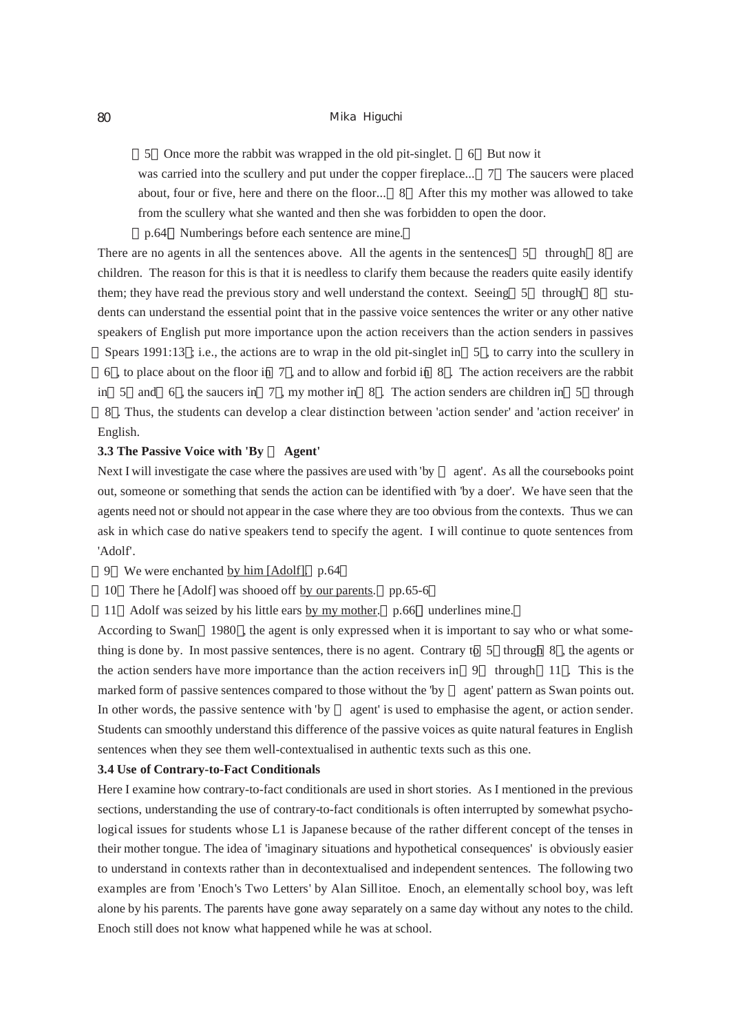5 Once more the rabbit was wrapped in the old pit-singlet. 6 But now it

was carried into the scullery and put under the copper fireplace... 7 The saucers were placed about, four or five, here and there on the floor... 8 After this my mother was allowed to take from the scullery what she wanted and then she was forbidden to open the door.

p.64 Numberings before each sentence are mine.

There are no agents in all the sentences above. All the agents in the sentences 5 through 8 are children. The reason for this is that it is needless to clarify them because the readers quite easily identify them; they have read the previous story and well understand the context. Seeing 5 through 8 students can understand the essential point that in the passive voice sentences the writer or any other native speakers of English put more importance upon the action receivers than the action senders in passives

Spears 1991:13 ; i.e., the actions are to wrap in the old pit-singlet in 5 , to carry into the scullery in 6 , to place about on the floor in 7 , and to allow and forbid in 8 . The action receivers are the rabbit in 5 and 6, the saucers in 7, my mother in  $8$ . The action senders are children in 5 through 8 . Thus, the students can develop a clear distinction between 'action sender' and 'action receiver' in English.

# **3.3 The Passive Voice with 'By Agent'**

Next I will investigate the case where the passives are used with 'by agent'. As all the coursebooks point out, someone or something that sends the action can be identified with 'by a doer'. We have seen that the agents need not or should not appear in the case where they are too obvious from the contexts. Thus we can ask in which case do native speakers tend to specify the agent. I will continue to quote sentences from 'Adolf'.

- 9 We were enchanted by him [Adolf]. p.64
- 10 There he [Adolf] was shooed off by our parents. pp.65-6
- 11 Adolf was seized by his little ears by my mother. p.66 underlines mine.

According to Swan 1980 , the agent is only expressed when it is important to say who or what something is done by. In most passive sentences, there is no agent. Contrary to 5 through 8 , the agents or the action senders have more importance than the action receivers in  $9$  through 11. This is the marked form of passive sentences compared to those without the 'by agent' pattern as Swan points out. In other words, the passive sentence with 'by agent' is used to emphasise the agent, or action sender. Students can smoothly understand this difference of the passive voices as quite natural features in English sentences when they see them well-contextualised in authentic texts such as this one.

## **3.4 Use of Contrary-to-Fact Conditionals**

Here I examine how contrary-to-fact conditionals are used in short stories. As I mentioned in the previous sections, understanding the use of contrary-to-fact conditionals is often interrupted by somewhat psychological issues for students whose L1 is Japanese because of the rather different concept of the tenses in their mother tongue. The idea of 'imaginary situations and hypothetical consequences' is obviously easier to understand in contexts rather than in decontextualised and independent sentences. The following two examples are from 'Enoch's Two Letters' by Alan Sillitoe. Enoch, an elementally school boy, was left alone by his parents. The parents have gone away separately on a same day without any notes to the child. Enoch still does not know what happened while he was at school.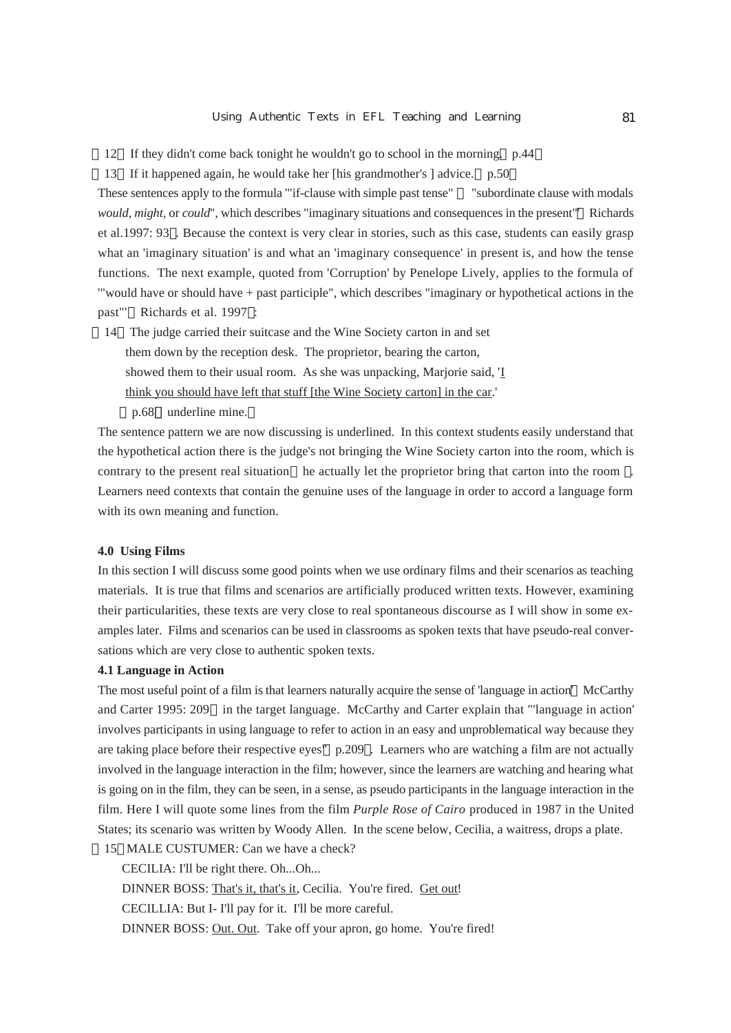- 12 If they didn't come back tonight he wouldn't go to school in the morning. p.44
- 13 If it happened again, he would take her [his grandmother's ] advice. p.50

These sentences apply to the formula '"if-clause with simple past tense" "subordinate clause with modals *would, might*, or *could*", which describes "imaginary situations and consequences in the present"' Richards et al.1997: 93 . Because the context is very clear in stories, such as this case, students can easily grasp what an 'imaginary situation' is and what an 'imaginary consequence' in present is, and how the tense functions. The next example, quoted from 'Corruption' by Penelope Lively, applies to the formula of '"would have or should have + past participle", which describes "imaginary or hypothetical actions in the past"' Richards et al. 1997 :

- 14 The judge carried their suitcase and the Wine Society carton in and set them down by the reception desk. The proprietor, bearing the carton, showed them to their usual room. As she was unpacking, Marjorie said, 'I think you should have left that stuff [the Wine Society carton] in the car.'
	- p.68 underline mine.

The sentence pattern we are now discussing is underlined. In this context students easily understand that the hypothetical action there is the judge's not bringing the Wine Society carton into the room, which is contrary to the present real situation he actually let the proprietor bring that carton into the room . Learners need contexts that contain the genuine uses of the language in order to accord a language form with its own meaning and function.

# **4.0 Using Films**

In this section I will discuss some good points when we use ordinary films and their scenarios as teaching materials. It is true that films and scenarios are artificially produced written texts. However, examining their particularities, these texts are very close to real spontaneous discourse as I will show in some examples later. Films and scenarios can be used in classrooms as spoken texts that have pseudo-real conversations which are very close to authentic spoken texts.

# **4.1 Language in Action**

The most useful point of a film is that learners naturally acquire the sense of 'language in action' McCarthy and Carter 1995: 209 in the target language. McCarthy and Carter explain that "'language in action' involves participants in using language to refer to action in an easy and unproblematical way because they are taking place before their respective eyes" p.209 . Learners who are watching a film are not actually involved in the language interaction in the film; however, since the learners are watching and hearing what is going on in the film, they can be seen, in a sense, as pseudo participants in the language interaction in the film. Here I will quote some lines from the film *Purple Rose of Cairo* produced in 1987 in the United States; its scenario was written by Woody Allen. In the scene below, Cecilia, a waitress, drops a plate.

15 MALE CUSTUMER: Can we have a check?

CECILIA: I'll be right there. Oh...Oh... DINNER BOSS: That's it, that's it, Cecilia. You're fired. Get out! CECILLIA: But I- I'll pay for it. I'll be more careful. DINNER BOSS: Out. Out. Take off your apron, go home. You're fired!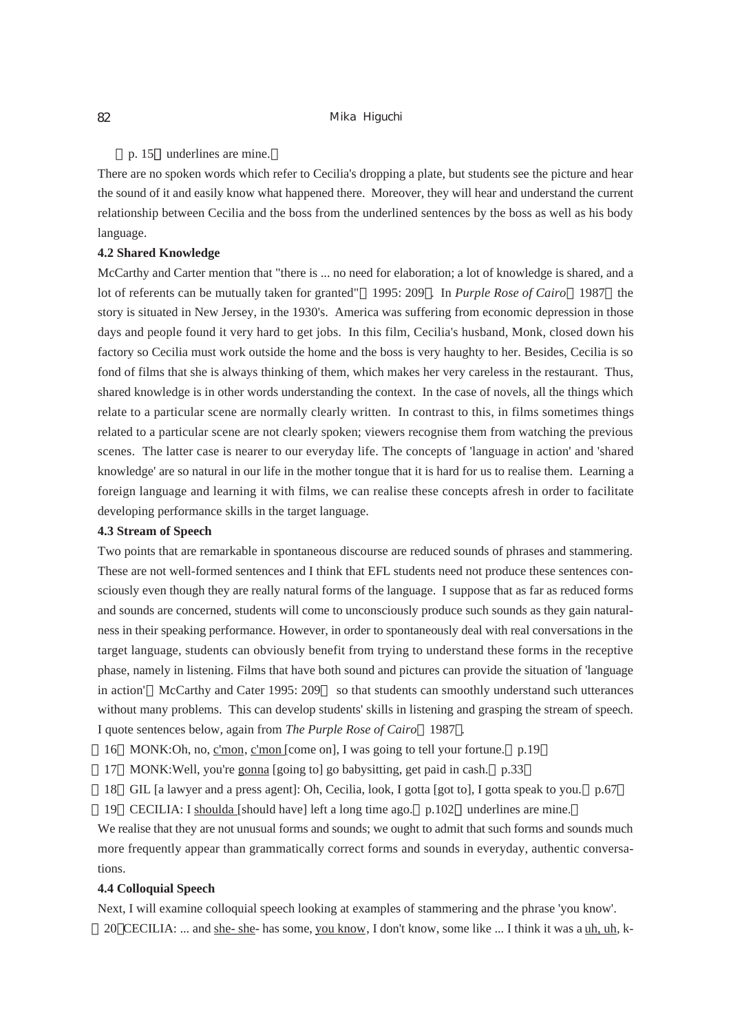# p. 15 underlines are mine.

There are no spoken words which refer to Cecilia's dropping a plate, but students see the picture and hear the sound of it and easily know what happened there. Moreover, they will hear and understand the current relationship between Cecilia and the boss from the underlined sentences by the boss as well as his body language.

## **4.2 Shared Knowledge**

McCarthy and Carter mention that "there is ... no need for elaboration; a lot of knowledge is shared, and a lot of referents can be mutually taken for granted" 1995: 209 . In *Purple Rose of Cairo* 1987 the story is situated in New Jersey, in the 1930's. America was suffering from economic depression in those days and people found it very hard to get jobs. In this film, Cecilia's husband, Monk, closed down his factory so Cecilia must work outside the home and the boss is very haughty to her. Besides, Cecilia is so fond of films that she is always thinking of them, which makes her very careless in the restaurant. Thus, shared knowledge is in other words understanding the context. In the case of novels, all the things which relate to a particular scene are normally clearly written. In contrast to this, in films sometimes things related to a particular scene are not clearly spoken; viewers recognise them from watching the previous scenes. The latter case is nearer to our everyday life. The concepts of 'language in action' and 'shared knowledge' are so natural in our life in the mother tongue that it is hard for us to realise them. Learning a foreign language and learning it with films, we can realise these concepts afresh in order to facilitate developing performance skills in the target language.

## **4.3 Stream of Speech**

Two points that are remarkable in spontaneous discourse are reduced sounds of phrases and stammering. These are not well-formed sentences and I think that EFL students need not produce these sentences consciously even though they are really natural forms of the language. I suppose that as far as reduced forms and sounds are concerned, students will come to unconsciously produce such sounds as they gain naturalness in their speaking performance. However, in order to spontaneously deal with real conversations in the target language, students can obviously benefit from trying to understand these forms in the receptive phase, namely in listening. Films that have both sound and pictures can provide the situation of 'language in action' McCarthy and Cater 1995: 209 so that students can smoothly understand such utterances without many problems. This can develop students' skills in listening and grasping the stream of speech. I quote sentences below, again from *The Purple Rose of Cairo* 1987 .

- 16 MONK:Oh, no, c'mon, c'mon [come on], I was going to tell your fortune. p.19
- 17 MONK:Well, you're gonna [going to] go babysitting, get paid in cash. p.33
- 18 GIL [a lawyer and a press agent]: Oh, Cecilia, look, I gotta [got to], I gotta speak to you. p.67
- 19 CECILIA: I shoulda [should have] left a long time ago. p.102 underlines are mine.

We realise that they are not unusual forms and sounds; we ought to admit that such forms and sounds much more frequently appear than grammatically correct forms and sounds in everyday, authentic conversations.

# **4.4 Colloquial Speech**

Next, I will examine colloquial speech looking at examples of stammering and the phrase 'you know'. 20 CECILIA: ... and she- she- has some, you know, I don't know, some like ... I think it was a uh, uh, k-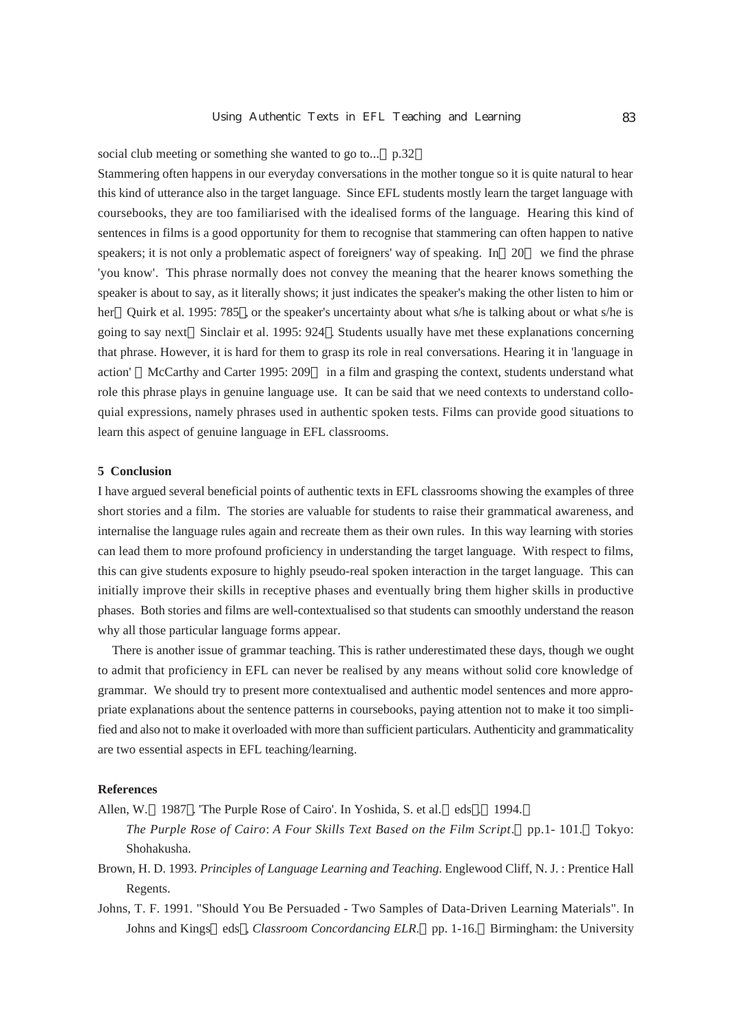# social club meeting or something she wanted to go to... p.32

Stammering often happens in our everyday conversations in the mother tongue so it is quite natural to hear this kind of utterance also in the target language. Since EFL students mostly learn the target language with coursebooks, they are too familiarised with the idealised forms of the language. Hearing this kind of sentences in films is a good opportunity for them to recognise that stammering can often happen to native speakers; it is not only a problematic aspect of foreigners' way of speaking. In 20 we find the phrase 'you know'. This phrase normally does not convey the meaning that the hearer knows something the speaker is about to say, as it literally shows; it just indicates the speaker's making the other listen to him or her Quirk et al. 1995: 785, or the speaker's uncertainty about what s/he is talking about or what s/he is going to say next Sinclair et al. 1995: 924 . Students usually have met these explanations concerning that phrase. However, it is hard for them to grasp its role in real conversations. Hearing it in 'language in action' McCarthy and Carter 1995: 209 in a film and grasping the context, students understand what role this phrase plays in genuine language use. It can be said that we need contexts to understand colloquial expressions, namely phrases used in authentic spoken tests. Films can provide good situations to learn this aspect of genuine language in EFL classrooms.

# **5 Conclusion**

I have argued several beneficial points of authentic texts in EFL classrooms showing the examples of three short stories and a film. The stories are valuable for students to raise their grammatical awareness, and internalise the language rules again and recreate them as their own rules. In this way learning with stories can lead them to more profound proficiency in understanding the target language. With respect to films, this can give students exposure to highly pseudo-real spoken interaction in the target language. This can initially improve their skills in receptive phases and eventually bring them higher skills in productive phases. Both stories and films are well-contextualised so that students can smoothly understand the reason why all those particular language forms appear.

There is another issue of grammar teaching. This is rather underestimated these days, though we ought to admit that proficiency in EFL can never be realised by any means without solid core knowledge of grammar. We should try to present more contextualised and authentic model sentences and more appropriate explanations about the sentence patterns in coursebooks, paying attention not to make it too simplified and also not to make it overloaded with more than sufficient particulars. Authenticity and grammaticality are two essential aspects in EFL teaching/learning.

## **References**

Allen, W. 1987 . 'The Purple Rose of Cairo'. In Yoshida, S. et al. eds . 1994.

- *The Purple Rose of Cairo*: *A Four Skills Text Based on the Film Script*. pp.1- 101. Tokyo: Shohakusha.
- Brown, H. D. 1993. *Principles of Language Learning and Teaching*. Englewood Cliff, N. J. : Prentice Hall Regents.
- Johns, T. F. 1991. "Should You Be Persuaded Two Samples of Data-Driven Learning Materials". In Johns and Kings eds , *Classroom Concordancing ELR*. pp. 1-16. Birmingham: the University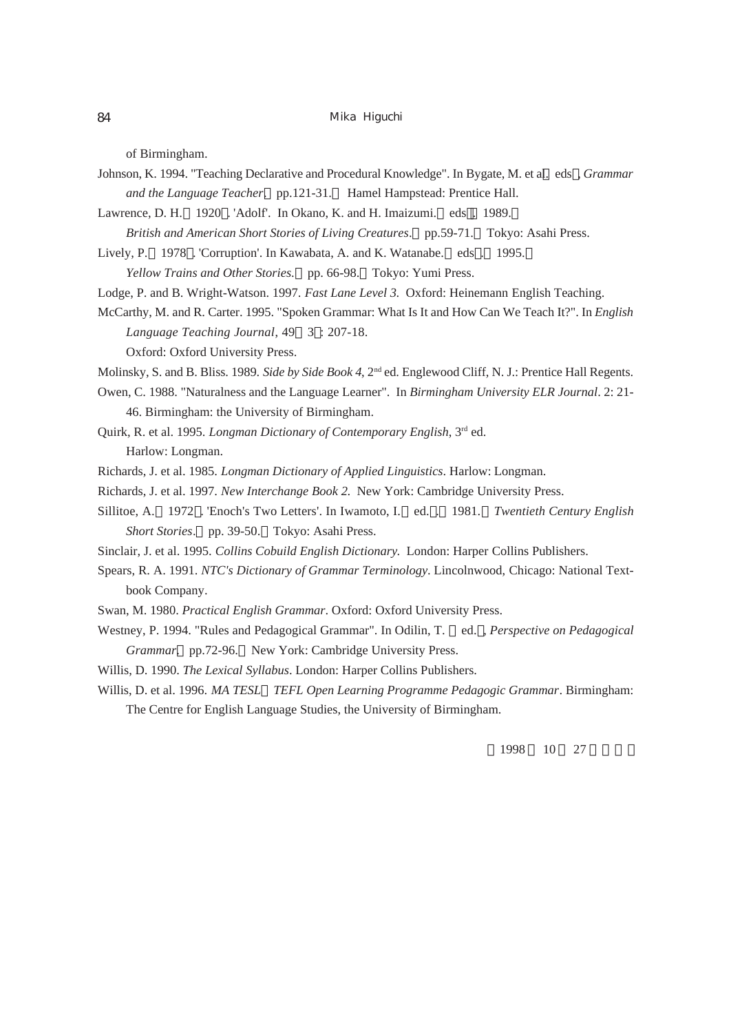of Birmingham.

- Johnson, K. 1994. "Teaching Declarative and Procedural Knowledge". In Bygate, M. et al. eds , *Grammar and the Language Teacher*. pp.121-31. Hamel Hampstead: Prentice Hall.
- Lawrence, D. H. 1920 . 'Adolf'. In Okano, K. and H. Imaizumi. eds . 1989.
- *British and American Short Stories of Living Creatures*. pp.59-71. Tokyo: Asahi Press.
- Lively, P. 1978 . 'Corruption'. In Kawabata, A. and K. Watanabe. eds . 1995.

*Yellow Trains and Other Stories*. pp. 66-98. Tokyo: Yumi Press.

Lodge, P. and B. Wright-Watson. 1997. *Fast Lane Level 3*. Oxford: Heinemann English Teaching.

McCarthy, M. and R. Carter. 1995. "Spoken Grammar: What Is It and How Can We Teach It?". In *English Language Teaching Journal*, 49 3 : 207-18.

Oxford: Oxford University Press.

- Molinsky, S. and B. Bliss. 1989. *Side by Side Book 4*, 2nd ed. Englewood Cliff, N. J.: Prentice Hall Regents.
- Owen, C. 1988. "Naturalness and the Language Learner". In *Birmingham University ELR Journal*. 2: 21- 46. Birmingham: the University of Birmingham.
- Quirk, R. et al. 1995. *Longman Dictionary of Contemporary English*, 3rd ed. Harlow: Longman.
- Richards, J. et al. 1985. *Longman Dictionary of Applied Linguistics*. Harlow: Longman.
- Richards, J. et al. 1997. *New Interchange Book 2*. New York: Cambridge University Press.
- Sillitoe, A. 1972 . 'Enoch's Two Letters'. In Iwamoto, I. ed. . 1981. *Twentieth Century English Short Stories*. pp. 39-50. Tokyo: Asahi Press.
- Sinclair, J. et al. 1995. *Collins Cobuild English Dictionary*. London: Harper Collins Publishers.
- Spears, R. A. 1991. *NTC's Dictionary of Grammar Terminology*. Lincolnwood, Chicago: National Textbook Company.
- Swan, M. 1980. *Practical English Grammar*. Oxford: Oxford University Press.
- Westney, P. 1994. "Rules and Pedagogical Grammar". In Odilin, T. ed. , *Perspective on Pedagogical Grammar*. pp.72-96. New York: Cambridge University Press.
- Willis, D. 1990. *The Lexical Syllabus*. London: Harper Collins Publishers.
- Willis, D. et al. 1996. *MA TESL TEFL Open Learning Programme Pedagogic Grammar*. Birmingham: The Centre for English Language Studies, the University of Birmingham.

1998 10 27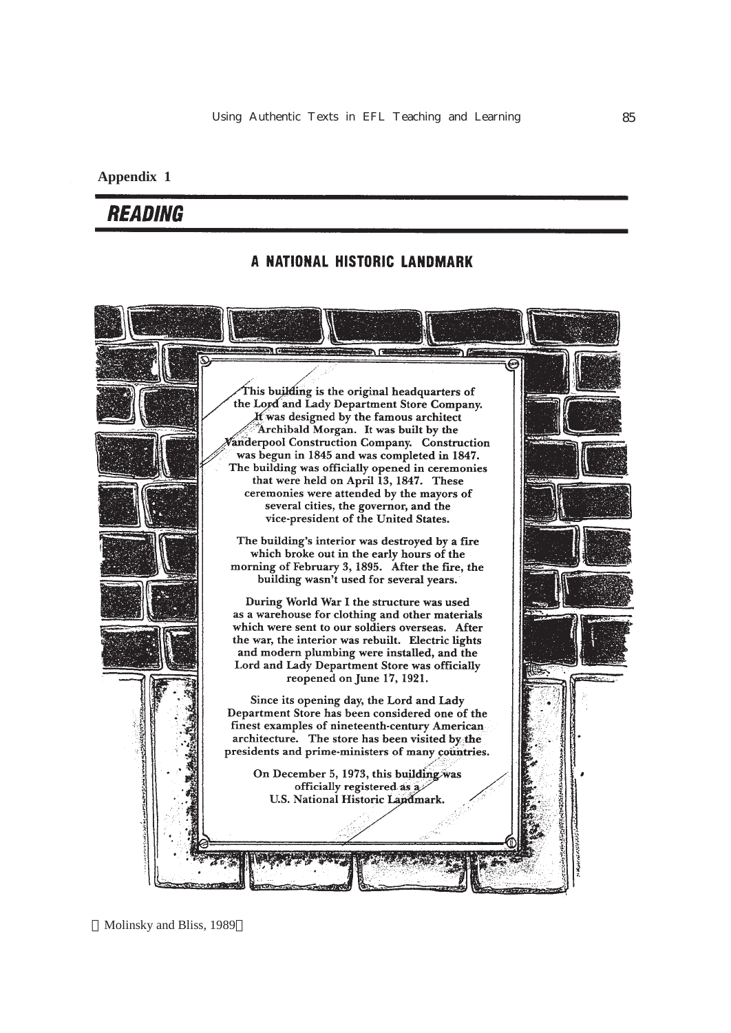# **Appendix 1**

# **READING**

# A NATIONAL HISTORIC LANDMARK



Molinsky and Bliss, 1989